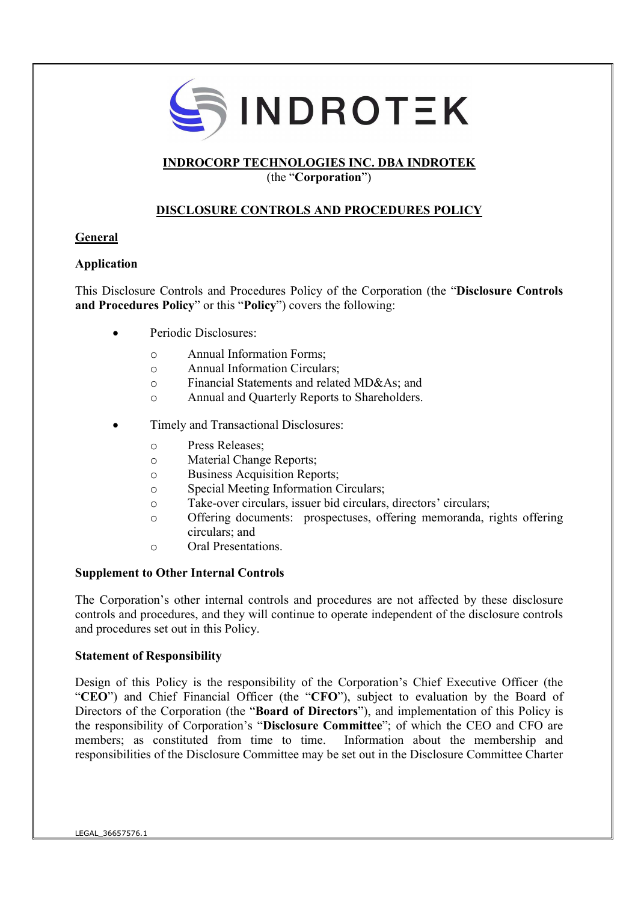

### INDROCORP TECHNOLOGIES INC. DBA INDROTEK

(the "Corporation")

## DISCLOSURE CONTROLS AND PROCEDURES POLICY

#### General

### Application

This Disclosure Controls and Procedures Policy of the Corporation (the "Disclosure Controls and Procedures Policy" or this "Policy") covers the following:

- Periodic Disclosures:
	- o Annual Information Forms;
	- o Annual Information Circulars;
	- o Financial Statements and related MD&As; and
	- o Annual and Quarterly Reports to Shareholders.
- Timely and Transactional Disclosures:
	- o Press Releases;
	- o Material Change Reports;
	- o Business Acquisition Reports;
	- o Special Meeting Information Circulars;
	- o Take-over circulars, issuer bid circulars, directors' circulars;
	- o Offering documents: prospectuses, offering memoranda, rights offering circulars; and
	- o Oral Presentations.

#### Supplement to Other Internal Controls

The Corporation's other internal controls and procedures are not affected by these disclosure controls and procedures, and they will continue to operate independent of the disclosure controls and procedures set out in this Policy.

#### Statement of Responsibility

Design of this Policy is the responsibility of the Corporation's Chief Executive Officer (the "CEO") and Chief Financial Officer (the "CFO"), subject to evaluation by the Board of Directors of the Corporation (the "**Board of Directors**"), and implementation of this Policy is the responsibility of Corporation's "Disclosure Committee"; of which the CEO and CFO are members; as constituted from time to time. Information about the membership and responsibilities of the Disclosure Committee may be set out in the Disclosure Committee Charter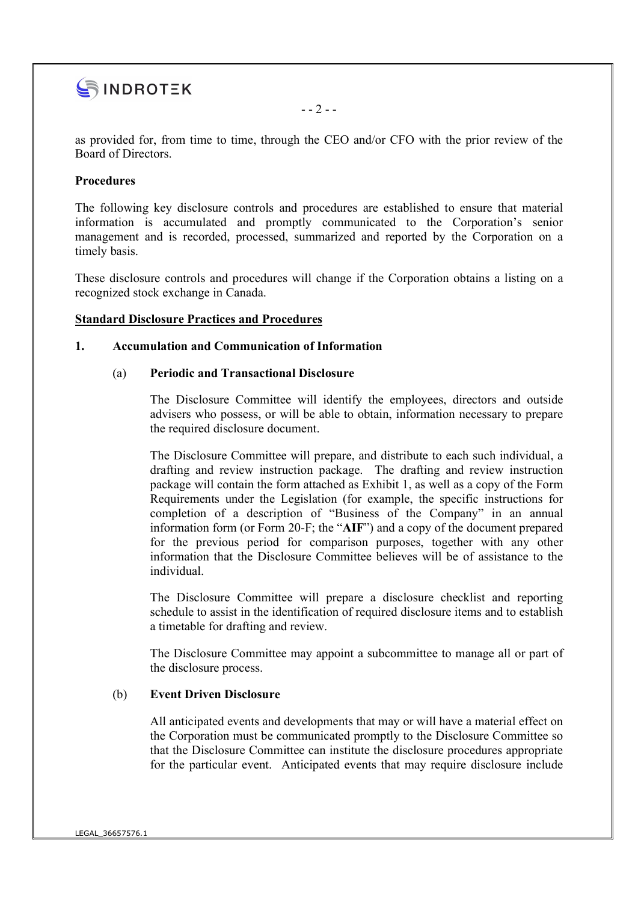

as provided for, from time to time, through the CEO and/or CFO with the prior review of the Board of Directors.

 $-- 2--$ 

#### Procedures

The following key disclosure controls and procedures are established to ensure that material information is accumulated and promptly communicated to the Corporation's senior management and is recorded, processed, summarized and reported by the Corporation on a timely basis.

These disclosure controls and procedures will change if the Corporation obtains a listing on a recognized stock exchange in Canada.

#### Standard Disclosure Practices and Procedures

#### 1. Accumulation and Communication of Information

#### (a) Periodic and Transactional Disclosure

The Disclosure Committee will identify the employees, directors and outside advisers who possess, or will be able to obtain, information necessary to prepare the required disclosure document.

The Disclosure Committee will prepare, and distribute to each such individual, a drafting and review instruction package. The drafting and review instruction package will contain the form attached as Exhibit 1, as well as a copy of the Form Requirements under the Legislation (for example, the specific instructions for completion of a description of "Business of the Company" in an annual information form (or Form 20-F; the "AIF") and a copy of the document prepared for the previous period for comparison purposes, together with any other information that the Disclosure Committee believes will be of assistance to the individual.

The Disclosure Committee will prepare a disclosure checklist and reporting schedule to assist in the identification of required disclosure items and to establish a timetable for drafting and review.

The Disclosure Committee may appoint a subcommittee to manage all or part of the disclosure process.

#### (b) Event Driven Disclosure

All anticipated events and developments that may or will have a material effect on the Corporation must be communicated promptly to the Disclosure Committee so that the Disclosure Committee can institute the disclosure procedures appropriate for the particular event. Anticipated events that may require disclosure include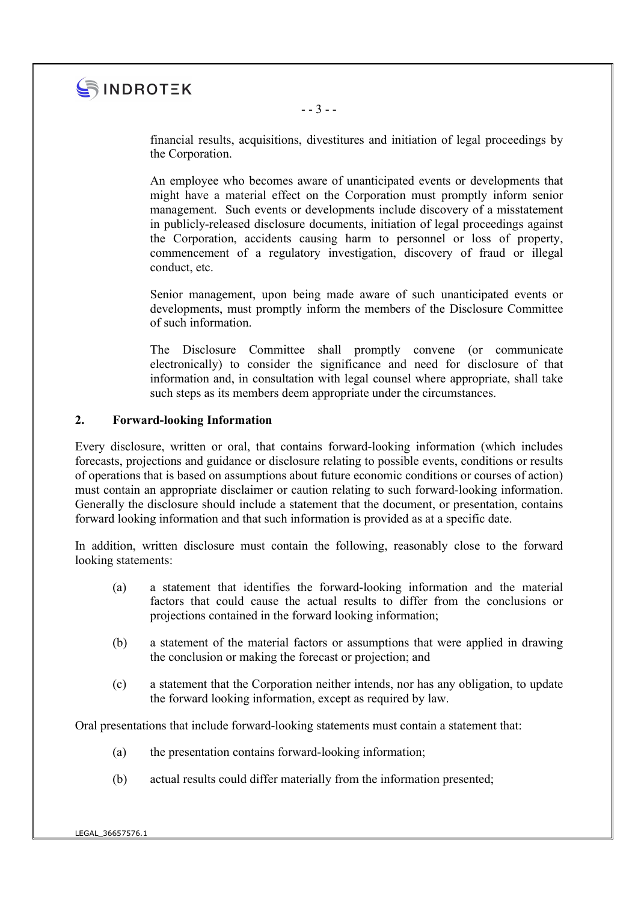

financial results, acquisitions, divestitures and initiation of legal proceedings by the Corporation.

An employee who becomes aware of unanticipated events or developments that might have a material effect on the Corporation must promptly inform senior management. Such events or developments include discovery of a misstatement in publicly-released disclosure documents, initiation of legal proceedings against the Corporation, accidents causing harm to personnel or loss of property, commencement of a regulatory investigation, discovery of fraud or illegal conduct, etc.

Senior management, upon being made aware of such unanticipated events or developments, must promptly inform the members of the Disclosure Committee of such information.

The Disclosure Committee shall promptly convene (or communicate electronically) to consider the significance and need for disclosure of that information and, in consultation with legal counsel where appropriate, shall take such steps as its members deem appropriate under the circumstances.

#### 2. Forward-looking Information

Every disclosure, written or oral, that contains forward-looking information (which includes forecasts, projections and guidance or disclosure relating to possible events, conditions or results of operations that is based on assumptions about future economic conditions or courses of action) must contain an appropriate disclaimer or caution relating to such forward-looking information. Generally the disclosure should include a statement that the document, or presentation, contains forward looking information and that such information is provided as at a specific date.

In addition, written disclosure must contain the following, reasonably close to the forward looking statements:

- (a) a statement that identifies the forward-looking information and the material factors that could cause the actual results to differ from the conclusions or projections contained in the forward looking information;
- (b) a statement of the material factors or assumptions that were applied in drawing the conclusion or making the forecast or projection; and
- (c) a statement that the Corporation neither intends, nor has any obligation, to update the forward looking information, except as required by law.

Oral presentations that include forward-looking statements must contain a statement that:

- (a) the presentation contains forward-looking information;
- (b) actual results could differ materially from the information presented;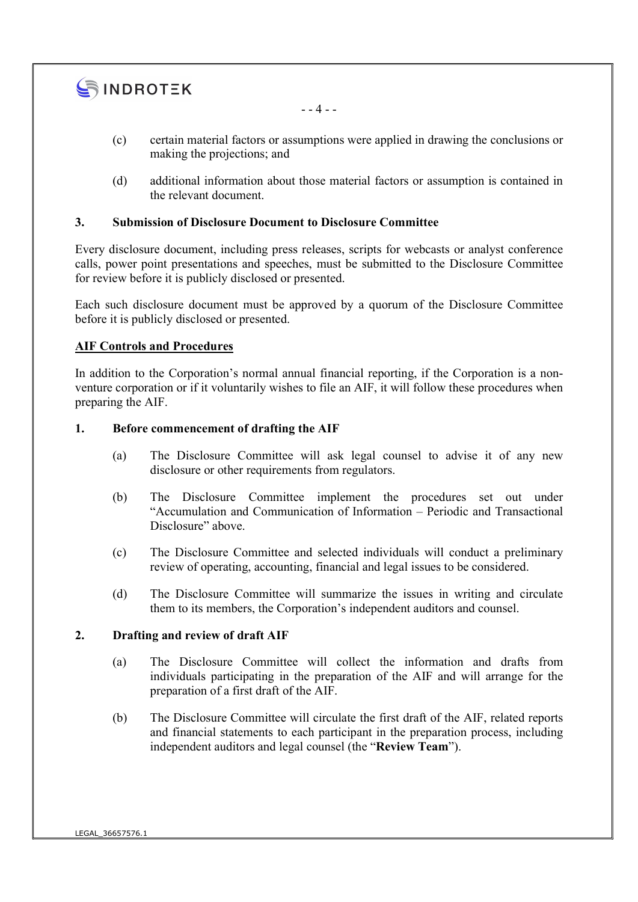

- - 4 - -

- (c) certain material factors or assumptions were applied in drawing the conclusions or making the projections; and
- (d) additional information about those material factors or assumption is contained in the relevant document.

#### 3. Submission of Disclosure Document to Disclosure Committee

Every disclosure document, including press releases, scripts for webcasts or analyst conference calls, power point presentations and speeches, must be submitted to the Disclosure Committee for review before it is publicly disclosed or presented.

Each such disclosure document must be approved by a quorum of the Disclosure Committee before it is publicly disclosed or presented.

#### AIF Controls and Procedures

In addition to the Corporation's normal annual financial reporting, if the Corporation is a nonventure corporation or if it voluntarily wishes to file an AIF, it will follow these procedures when preparing the AIF.

#### 1. Before commencement of drafting the AIF

- (a) The Disclosure Committee will ask legal counsel to advise it of any new disclosure or other requirements from regulators.
- (b) The Disclosure Committee implement the procedures set out under "Accumulation and Communication of Information – Periodic and Transactional Disclosure" above.
- (c) The Disclosure Committee and selected individuals will conduct a preliminary review of operating, accounting, financial and legal issues to be considered.
- (d) The Disclosure Committee will summarize the issues in writing and circulate them to its members, the Corporation's independent auditors and counsel.

#### 2. Drafting and review of draft AIF

- (a) The Disclosure Committee will collect the information and drafts from individuals participating in the preparation of the AIF and will arrange for the preparation of a first draft of the AIF.
- (b) The Disclosure Committee will circulate the first draft of the AIF, related reports and financial statements to each participant in the preparation process, including independent auditors and legal counsel (the "Review Team").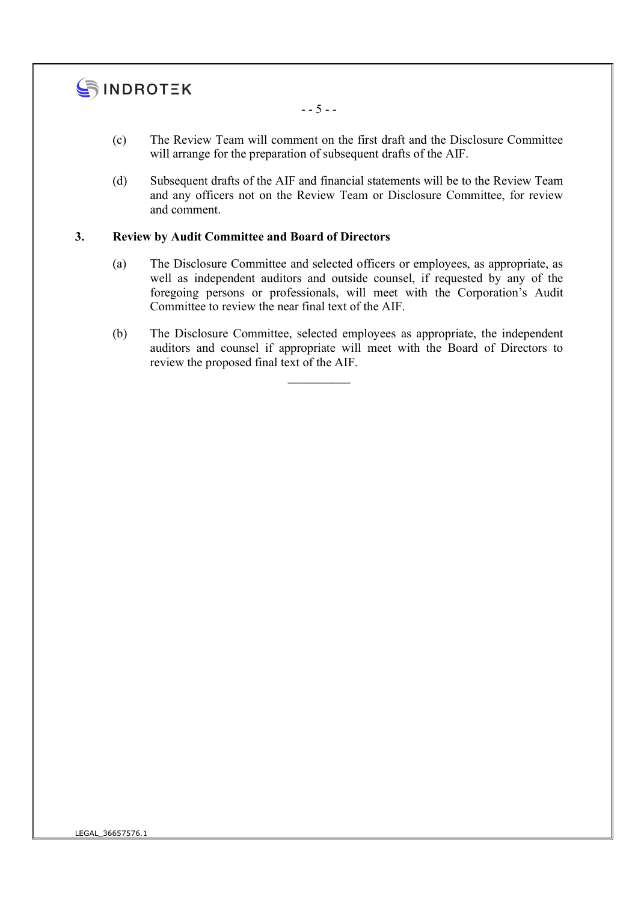

- - 5 - -

- (c) The Review Team will comment on the first draft and the Disclosure Committee will arrange for the preparation of subsequent drafts of the AIF.
- (d) Subsequent drafts of the AIF and financial statements will be to the Review Team and any officers not on the Review Team or Disclosure Committee, for review and comment.

### 3. Review by Audit Committee and Board of Directors

- (a) The Disclosure Committee and selected officers or employees, as appropriate, as well as independent auditors and outside counsel, if requested by any of the foregoing persons or professionals, will meet with the Corporation's Audit Committee to review the near final text of the AIF.
- (b) The Disclosure Committee, selected employees as appropriate, the independent auditors and counsel if appropriate will meet with the Board of Directors to review the proposed final text of the AIF.

 $\mathcal{L}_\text{max}$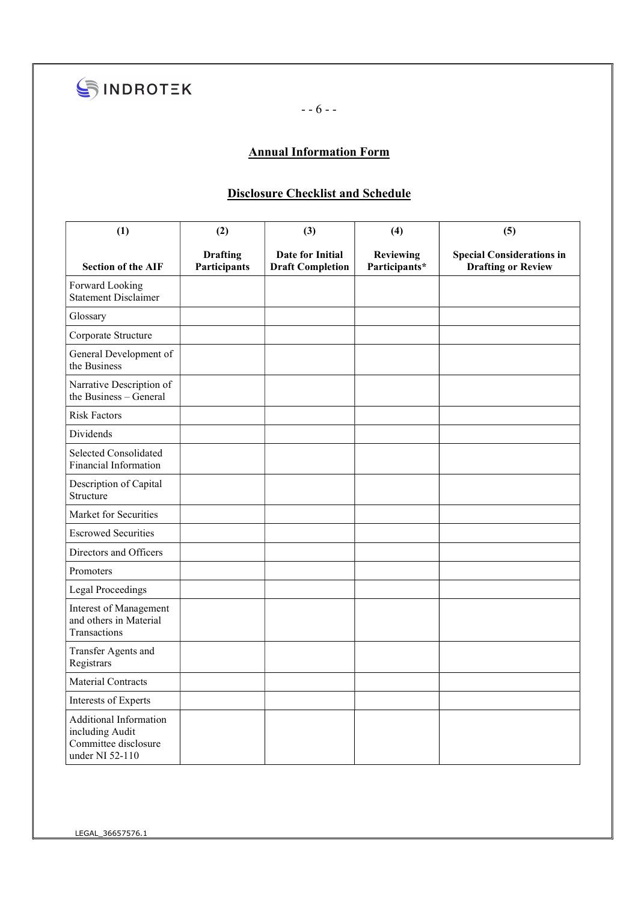

- - 6 - -

# Annual Information Form

### Disclosure Checklist and Schedule

| (1)                                                                                  | (2)                             | (3)                                         | (4)                        | (5)                                                           |
|--------------------------------------------------------------------------------------|---------------------------------|---------------------------------------------|----------------------------|---------------------------------------------------------------|
| <b>Section of the AIF</b>                                                            | <b>Drafting</b><br>Participants | Date for Initial<br><b>Draft Completion</b> | Reviewing<br>Participants* | <b>Special Considerations in</b><br><b>Drafting or Review</b> |
| Forward Looking<br><b>Statement Disclaimer</b>                                       |                                 |                                             |                            |                                                               |
| Glossary                                                                             |                                 |                                             |                            |                                                               |
| Corporate Structure                                                                  |                                 |                                             |                            |                                                               |
| General Development of<br>the Business                                               |                                 |                                             |                            |                                                               |
| Narrative Description of<br>the Business - General                                   |                                 |                                             |                            |                                                               |
| <b>Risk Factors</b>                                                                  |                                 |                                             |                            |                                                               |
| <b>Dividends</b>                                                                     |                                 |                                             |                            |                                                               |
| Selected Consolidated<br>Financial Information                                       |                                 |                                             |                            |                                                               |
| Description of Capital<br>Structure                                                  |                                 |                                             |                            |                                                               |
| Market for Securities                                                                |                                 |                                             |                            |                                                               |
| <b>Escrowed Securities</b>                                                           |                                 |                                             |                            |                                                               |
| Directors and Officers                                                               |                                 |                                             |                            |                                                               |
| Promoters                                                                            |                                 |                                             |                            |                                                               |
| <b>Legal Proceedings</b>                                                             |                                 |                                             |                            |                                                               |
| Interest of Management<br>and others in Material<br>Transactions                     |                                 |                                             |                            |                                                               |
| Transfer Agents and<br>Registrars                                                    |                                 |                                             |                            |                                                               |
| <b>Material Contracts</b>                                                            |                                 |                                             |                            |                                                               |
| Interests of Experts                                                                 |                                 |                                             |                            |                                                               |
| Additional Information<br>including Audit<br>Committee disclosure<br>under NI 52-110 |                                 |                                             |                            |                                                               |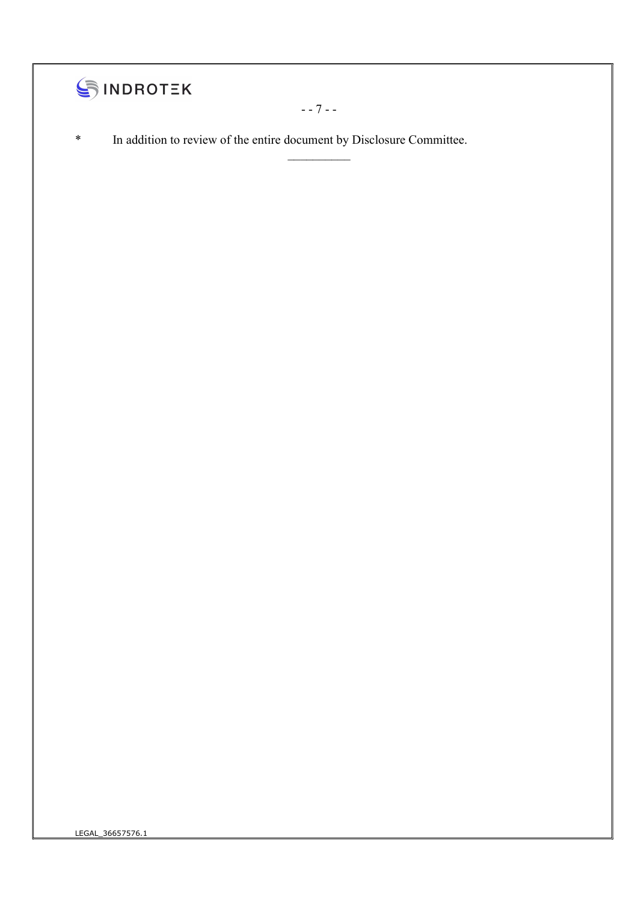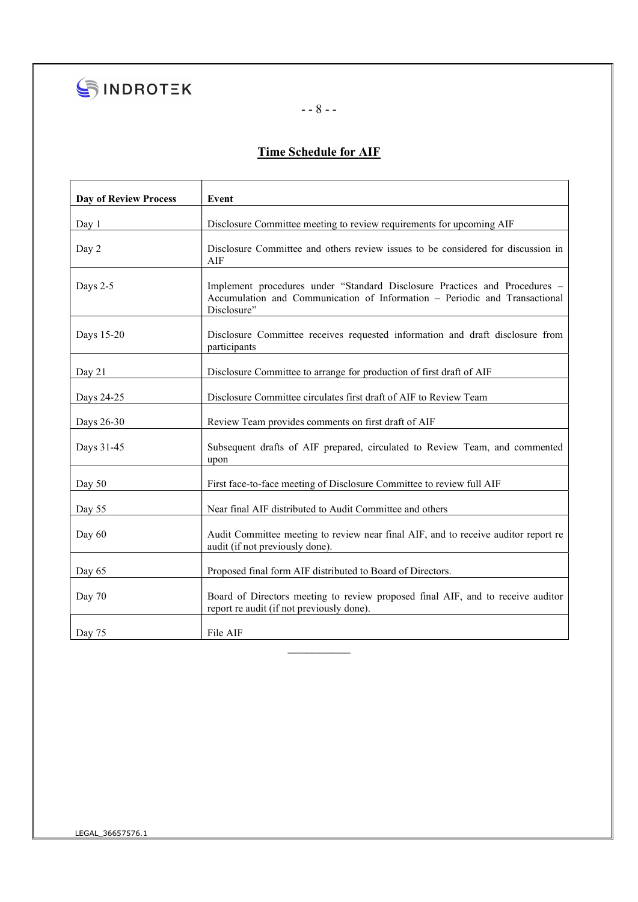

SINDROTEK

# - - 8 - -

# Time Schedule for AIF

| <b>Day of Review Process</b> | Event                                                                                                                                                                   |  |
|------------------------------|-------------------------------------------------------------------------------------------------------------------------------------------------------------------------|--|
| Day 1                        | Disclosure Committee meeting to review requirements for upcoming AIF                                                                                                    |  |
| Day 2                        | Disclosure Committee and others review issues to be considered for discussion in<br>AIF                                                                                 |  |
| Days 2-5                     | Implement procedures under "Standard Disclosure Practices and Procedures -<br>Accumulation and Communication of Information – Periodic and Transactional<br>Disclosure" |  |
| Days 15-20                   | Disclosure Committee receives requested information and draft disclosure from<br>participants                                                                           |  |
| Day 21                       | Disclosure Committee to arrange for production of first draft of AIF                                                                                                    |  |
| Days 24-25                   | Disclosure Committee circulates first draft of AIF to Review Team                                                                                                       |  |
| Days 26-30                   | Review Team provides comments on first draft of AIF                                                                                                                     |  |
| Days 31-45                   | Subsequent drafts of AIF prepared, circulated to Review Team, and commented<br>upon                                                                                     |  |
| Day 50                       | First face-to-face meeting of Disclosure Committee to review full AIF                                                                                                   |  |
| Day 55                       | Near final AIF distributed to Audit Committee and others                                                                                                                |  |
| Day $60$                     | Audit Committee meeting to review near final AIF, and to receive auditor report re<br>audit (if not previously done).                                                   |  |
| Day 65                       | Proposed final form AIF distributed to Board of Directors.                                                                                                              |  |
| Day $70$                     | Board of Directors meeting to review proposed final AIF, and to receive auditor<br>report re audit (if not previously done).                                            |  |
| Day 75                       | File AIF                                                                                                                                                                |  |

 $\frac{1}{2}$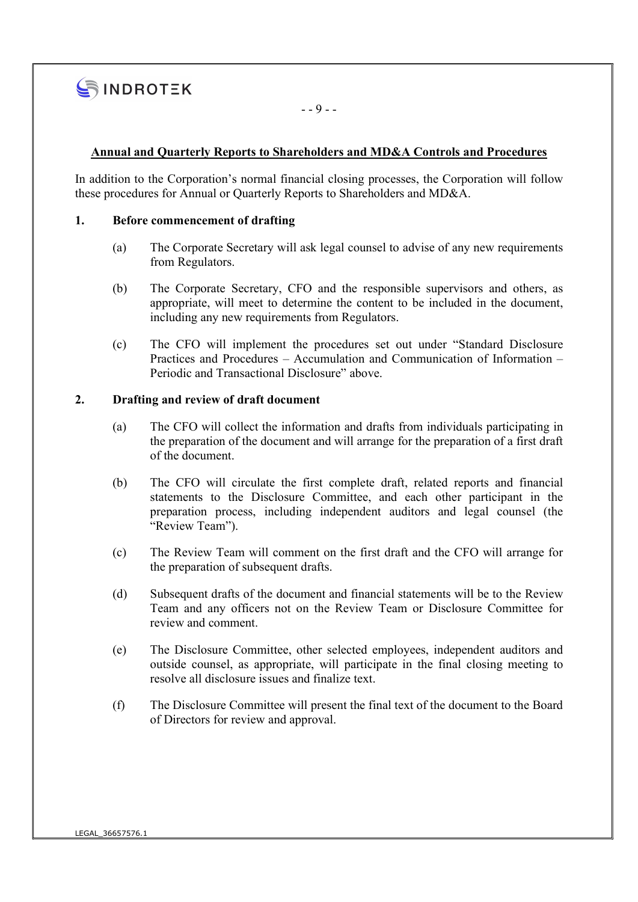

 $- - 9 - -$ 

#### Annual and Quarterly Reports to Shareholders and MD&A Controls and Procedures

In addition to the Corporation's normal financial closing processes, the Corporation will follow these procedures for Annual or Quarterly Reports to Shareholders and MD&A.

#### 1. Before commencement of drafting

- (a) The Corporate Secretary will ask legal counsel to advise of any new requirements from Regulators.
- (b) The Corporate Secretary, CFO and the responsible supervisors and others, as appropriate, will meet to determine the content to be included in the document, including any new requirements from Regulators.
- (c) The CFO will implement the procedures set out under "Standard Disclosure Practices and Procedures – Accumulation and Communication of Information – Periodic and Transactional Disclosure" above.

#### 2. Drafting and review of draft document

- (a) The CFO will collect the information and drafts from individuals participating in the preparation of the document and will arrange for the preparation of a first draft of the document.
- (b) The CFO will circulate the first complete draft, related reports and financial statements to the Disclosure Committee, and each other participant in the preparation process, including independent auditors and legal counsel (the "Review Team").
- (c) The Review Team will comment on the first draft and the CFO will arrange for the preparation of subsequent drafts.
- (d) Subsequent drafts of the document and financial statements will be to the Review Team and any officers not on the Review Team or Disclosure Committee for review and comment.
- (e) The Disclosure Committee, other selected employees, independent auditors and outside counsel, as appropriate, will participate in the final closing meeting to resolve all disclosure issues and finalize text.
- (f) The Disclosure Committee will present the final text of the document to the Board of Directors for review and approval.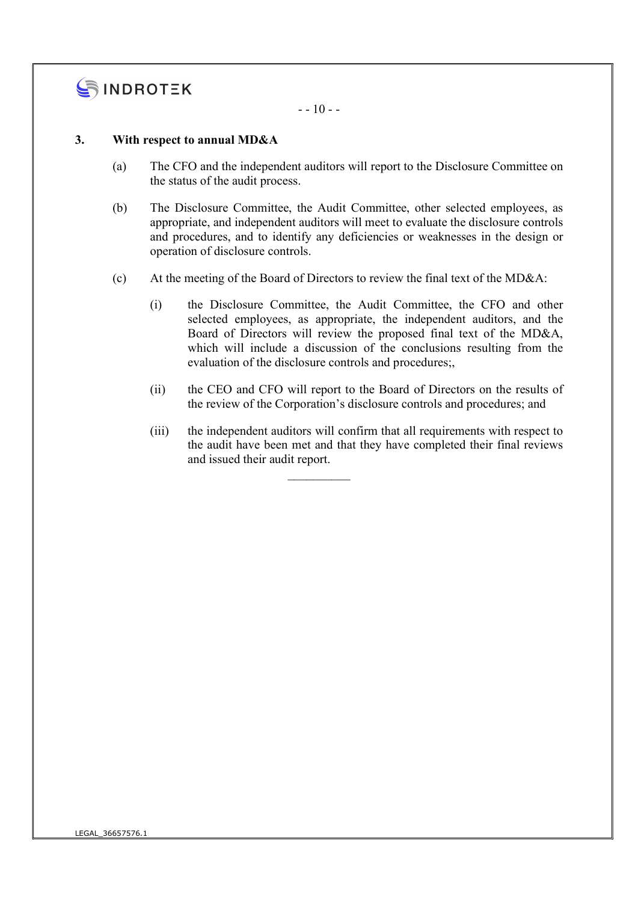

 $- - 10 - -$ 

#### 3. With respect to annual MD&A

- (a) The CFO and the independent auditors will report to the Disclosure Committee on the status of the audit process.
- (b) The Disclosure Committee, the Audit Committee, other selected employees, as appropriate, and independent auditors will meet to evaluate the disclosure controls and procedures, and to identify any deficiencies or weaknesses in the design or operation of disclosure controls.
- (c) At the meeting of the Board of Directors to review the final text of the MD&A:
	- (i) the Disclosure Committee, the Audit Committee, the CFO and other selected employees, as appropriate, the independent auditors, and the Board of Directors will review the proposed final text of the MD&A, which will include a discussion of the conclusions resulting from the evaluation of the disclosure controls and procedures;,
	- (ii) the CEO and CFO will report to the Board of Directors on the results of the review of the Corporation's disclosure controls and procedures; and
	- (iii) the independent auditors will confirm that all requirements with respect to the audit have been met and that they have completed their final reviews and issued their audit report.

 $\frac{1}{2}$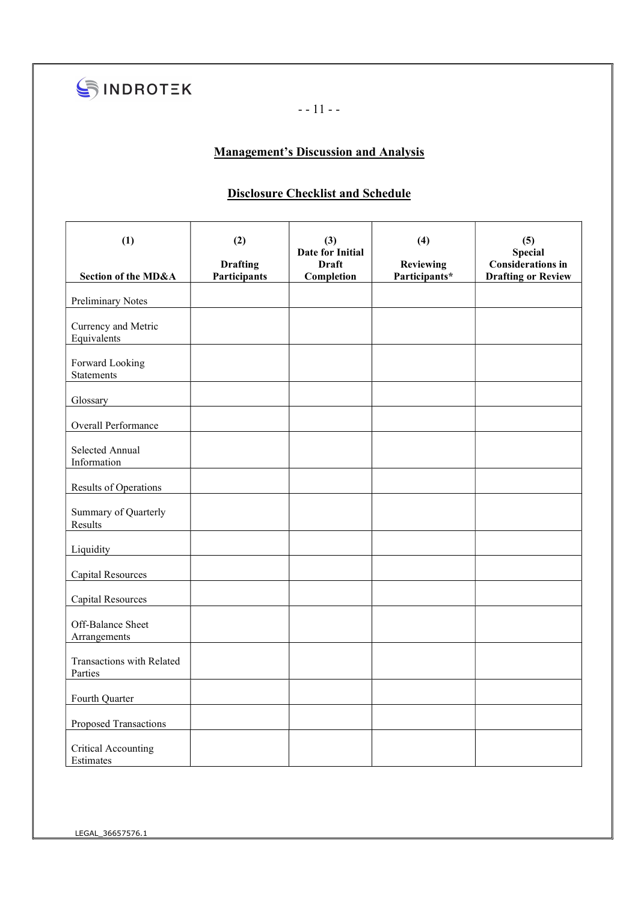

- - 11 - -

# Management's Discussion and Analysis

### Disclosure Checklist and Schedule

| (1)                                         | (2)<br><b>Drafting</b> | (3)<br>Date for Initial<br><b>Draft</b> | (4)<br><b>Reviewing</b> | (5)<br><b>Special</b><br><b>Considerations in</b> |
|---------------------------------------------|------------------------|-----------------------------------------|-------------------------|---------------------------------------------------|
| Section of the MD&A                         | Participants           | Completion                              | Participants*           | <b>Drafting or Review</b>                         |
| <b>Preliminary Notes</b>                    |                        |                                         |                         |                                                   |
| Currency and Metric<br>Equivalents          |                        |                                         |                         |                                                   |
| Forward Looking<br><b>Statements</b>        |                        |                                         |                         |                                                   |
| Glossary                                    |                        |                                         |                         |                                                   |
| Overall Performance                         |                        |                                         |                         |                                                   |
| Selected Annual<br>Information              |                        |                                         |                         |                                                   |
| <b>Results of Operations</b>                |                        |                                         |                         |                                                   |
| Summary of Quarterly<br>Results             |                        |                                         |                         |                                                   |
| Liquidity                                   |                        |                                         |                         |                                                   |
| <b>Capital Resources</b>                    |                        |                                         |                         |                                                   |
| <b>Capital Resources</b>                    |                        |                                         |                         |                                                   |
| Off-Balance Sheet<br>Arrangements           |                        |                                         |                         |                                                   |
| <b>Transactions with Related</b><br>Parties |                        |                                         |                         |                                                   |
| Fourth Quarter                              |                        |                                         |                         |                                                   |
| Proposed Transactions                       |                        |                                         |                         |                                                   |
| <b>Critical Accounting</b><br>Estimates     |                        |                                         |                         |                                                   |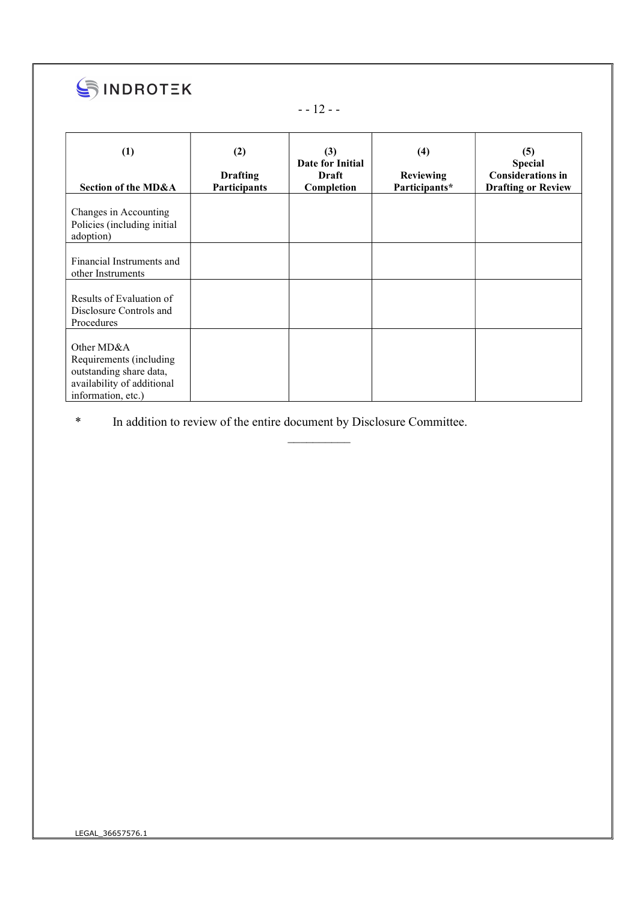

# - - 12 - -

| (1)<br>Section of the MD&A                                                                                           | (2)<br><b>Drafting</b><br><b>Participants</b> | (3)<br>Date for Initial<br>Draft<br>Completion | (4)<br><b>Reviewing</b><br>Participants* | (5)<br><b>Special</b><br><b>Considerations in</b><br><b>Drafting or Review</b> |
|----------------------------------------------------------------------------------------------------------------------|-----------------------------------------------|------------------------------------------------|------------------------------------------|--------------------------------------------------------------------------------|
| Changes in Accounting<br>Policies (including initial<br>adoption)                                                    |                                               |                                                |                                          |                                                                                |
| Financial Instruments and<br>other Instruments                                                                       |                                               |                                                |                                          |                                                                                |
| Results of Evaluation of<br>Disclosure Controls and<br>Procedures                                                    |                                               |                                                |                                          |                                                                                |
| Other MD&A<br>Requirements (including<br>outstanding share data,<br>availability of additional<br>information, etc.) |                                               |                                                |                                          |                                                                                |

 $\frac{1}{2}$ 

\* In addition to review of the entire document by Disclosure Committee.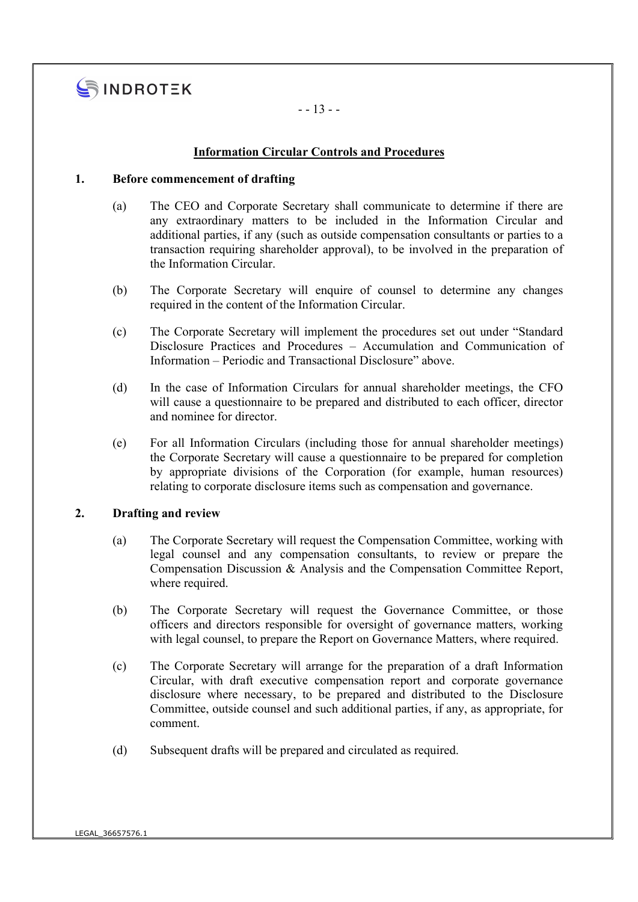

- - 13 - -

#### Information Circular Controls and Procedures

#### 1. Before commencement of drafting

- (a) The CEO and Corporate Secretary shall communicate to determine if there are any extraordinary matters to be included in the Information Circular and additional parties, if any (such as outside compensation consultants or parties to a transaction requiring shareholder approval), to be involved in the preparation of the Information Circular.
- (b) The Corporate Secretary will enquire of counsel to determine any changes required in the content of the Information Circular.
- (c) The Corporate Secretary will implement the procedures set out under "Standard Disclosure Practices and Procedures – Accumulation and Communication of Information – Periodic and Transactional Disclosure" above.
- (d) In the case of Information Circulars for annual shareholder meetings, the CFO will cause a questionnaire to be prepared and distributed to each officer, director and nominee for director.
- (e) For all Information Circulars (including those for annual shareholder meetings) the Corporate Secretary will cause a questionnaire to be prepared for completion by appropriate divisions of the Corporation (for example, human resources) relating to corporate disclosure items such as compensation and governance.

#### 2. Drafting and review

- (a) The Corporate Secretary will request the Compensation Committee, working with legal counsel and any compensation consultants, to review or prepare the Compensation Discussion & Analysis and the Compensation Committee Report, where required.
- (b) The Corporate Secretary will request the Governance Committee, or those officers and directors responsible for oversight of governance matters, working with legal counsel, to prepare the Report on Governance Matters, where required.
- (c) The Corporate Secretary will arrange for the preparation of a draft Information Circular, with draft executive compensation report and corporate governance disclosure where necessary, to be prepared and distributed to the Disclosure Committee, outside counsel and such additional parties, if any, as appropriate, for comment.
- (d) Subsequent drafts will be prepared and circulated as required.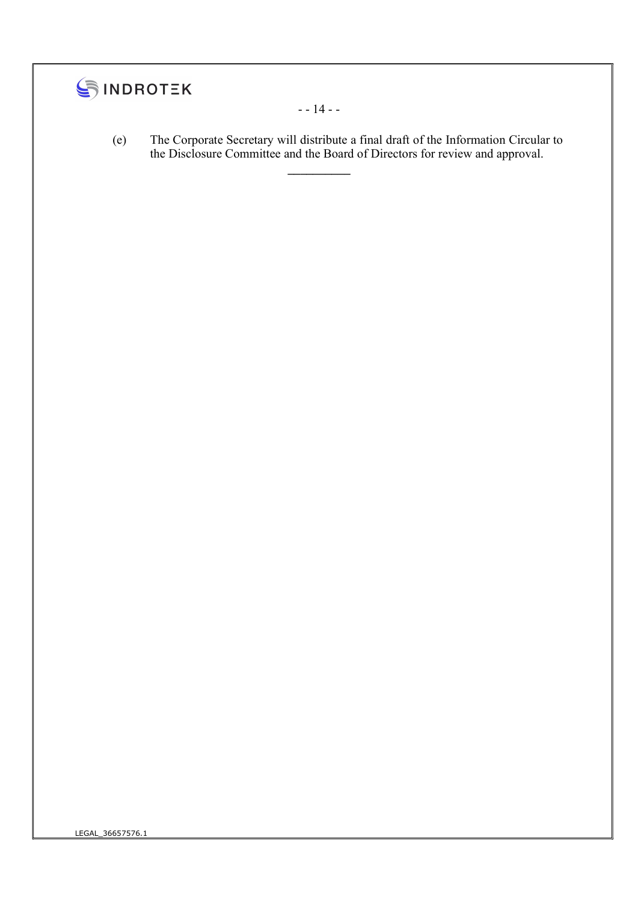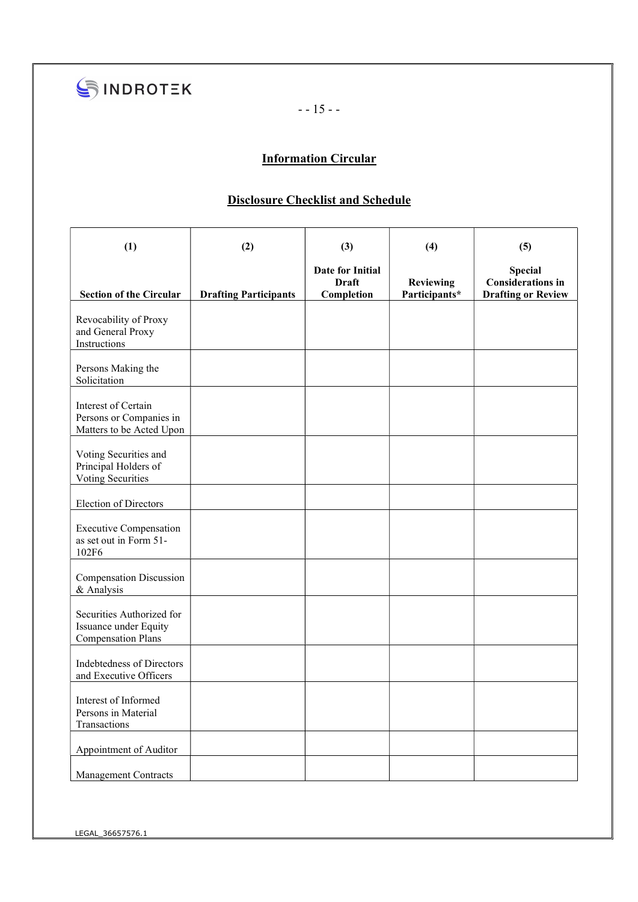

- - 15 - -

# **Information Circular**

# Disclosure Checklist and Schedule

| (1)                                                                             | (2)                          | (3)                                                   | (4)                               | (5)                                                                     |
|---------------------------------------------------------------------------------|------------------------------|-------------------------------------------------------|-----------------------------------|-------------------------------------------------------------------------|
| <b>Section of the Circular</b>                                                  | <b>Drafting Participants</b> | <b>Date for Initial</b><br><b>Draft</b><br>Completion | <b>Reviewing</b><br>Participants* | <b>Special</b><br><b>Considerations in</b><br><b>Drafting or Review</b> |
| Revocability of Proxy<br>and General Proxy<br>Instructions                      |                              |                                                       |                                   |                                                                         |
| Persons Making the<br>Solicitation                                              |                              |                                                       |                                   |                                                                         |
| Interest of Certain<br>Persons or Companies in<br>Matters to be Acted Upon      |                              |                                                       |                                   |                                                                         |
| Voting Securities and<br>Principal Holders of<br>Voting Securities              |                              |                                                       |                                   |                                                                         |
| <b>Election of Directors</b>                                                    |                              |                                                       |                                   |                                                                         |
| <b>Executive Compensation</b><br>as set out in Form 51-<br>102F6                |                              |                                                       |                                   |                                                                         |
| <b>Compensation Discussion</b><br>& Analysis                                    |                              |                                                       |                                   |                                                                         |
| Securities Authorized for<br>Issuance under Equity<br><b>Compensation Plans</b> |                              |                                                       |                                   |                                                                         |
| <b>Indebtedness of Directors</b><br>and Executive Officers                      |                              |                                                       |                                   |                                                                         |
| Interest of Informed<br>Persons in Material<br>Transactions                     |                              |                                                       |                                   |                                                                         |
| Appointment of Auditor                                                          |                              |                                                       |                                   |                                                                         |
| <b>Management Contracts</b>                                                     |                              |                                                       |                                   |                                                                         |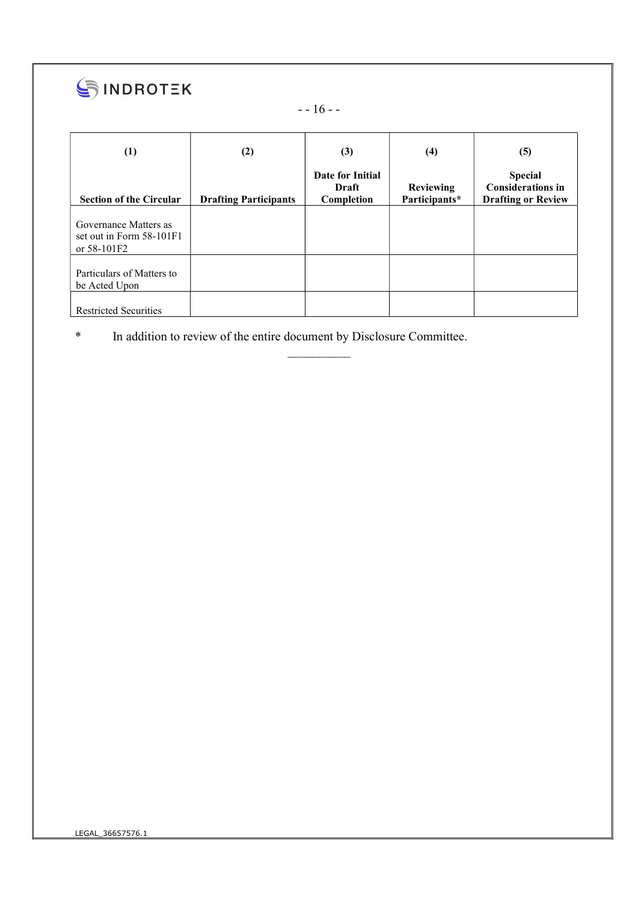

- - 16 - -

| (1)                                                              | (2)                          | (3)                                     | (4)                               | (5)                                                                     |
|------------------------------------------------------------------|------------------------------|-----------------------------------------|-----------------------------------|-------------------------------------------------------------------------|
| <b>Section of the Circular</b>                                   | <b>Drafting Participants</b> | Date for Initial<br>Draft<br>Completion | <b>Reviewing</b><br>Participants* | <b>Special</b><br><b>Considerations in</b><br><b>Drafting or Review</b> |
| Governance Matters as<br>set out in Form 58-101F1<br>or 58-101F2 |                              |                                         |                                   |                                                                         |
| Particulars of Matters to<br>be Acted Upon                       |                              |                                         |                                   |                                                                         |
| <b>Restricted Securities</b>                                     |                              |                                         |                                   |                                                                         |

 $\mathcal{L}_\text{max}$ 

\* In addition to review of the entire document by Disclosure Committee.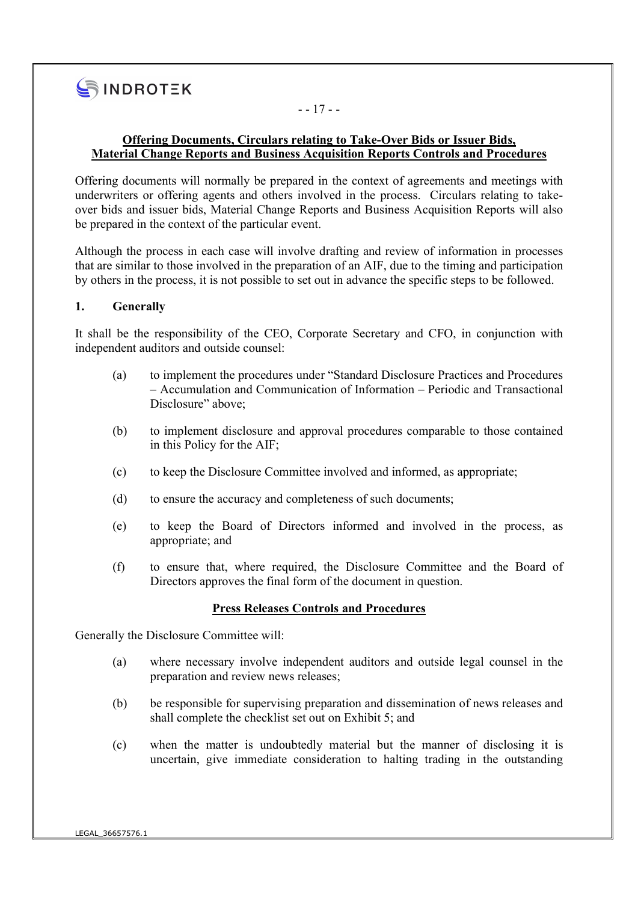

### - - 17 - -

### Offering Documents, Circulars relating to Take-Over Bids or Issuer Bids, Material Change Reports and Business Acquisition Reports Controls and Procedures

Offering documents will normally be prepared in the context of agreements and meetings with underwriters or offering agents and others involved in the process. Circulars relating to takeover bids and issuer bids, Material Change Reports and Business Acquisition Reports will also be prepared in the context of the particular event.

Although the process in each case will involve drafting and review of information in processes that are similar to those involved in the preparation of an AIF, due to the timing and participation by others in the process, it is not possible to set out in advance the specific steps to be followed.

#### 1. Generally

It shall be the responsibility of the CEO, Corporate Secretary and CFO, in conjunction with independent auditors and outside counsel:

- (a) to implement the procedures under "Standard Disclosure Practices and Procedures – Accumulation and Communication of Information – Periodic and Transactional Disclosure" above;
- (b) to implement disclosure and approval procedures comparable to those contained in this Policy for the AIF;
- (c) to keep the Disclosure Committee involved and informed, as appropriate;
- (d) to ensure the accuracy and completeness of such documents;
- (e) to keep the Board of Directors informed and involved in the process, as appropriate; and
- (f) to ensure that, where required, the Disclosure Committee and the Board of Directors approves the final form of the document in question.

#### Press Releases Controls and Procedures

Generally the Disclosure Committee will:

- (a) where necessary involve independent auditors and outside legal counsel in the preparation and review news releases;
- (b) be responsible for supervising preparation and dissemination of news releases and shall complete the checklist set out on Exhibit 5; and
- (c) when the matter is undoubtedly material but the manner of disclosing it is uncertain, give immediate consideration to halting trading in the outstanding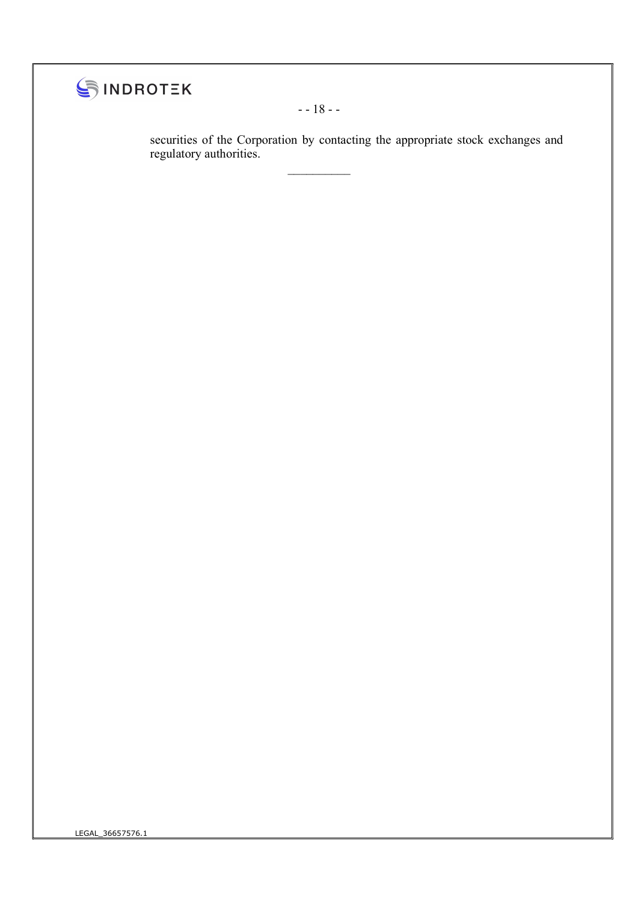

- - 18 - -

 $\mathcal{L}_\text{max}$ 

securities of the Corporation by contacting the appropriate stock exchanges and regulatory authorities.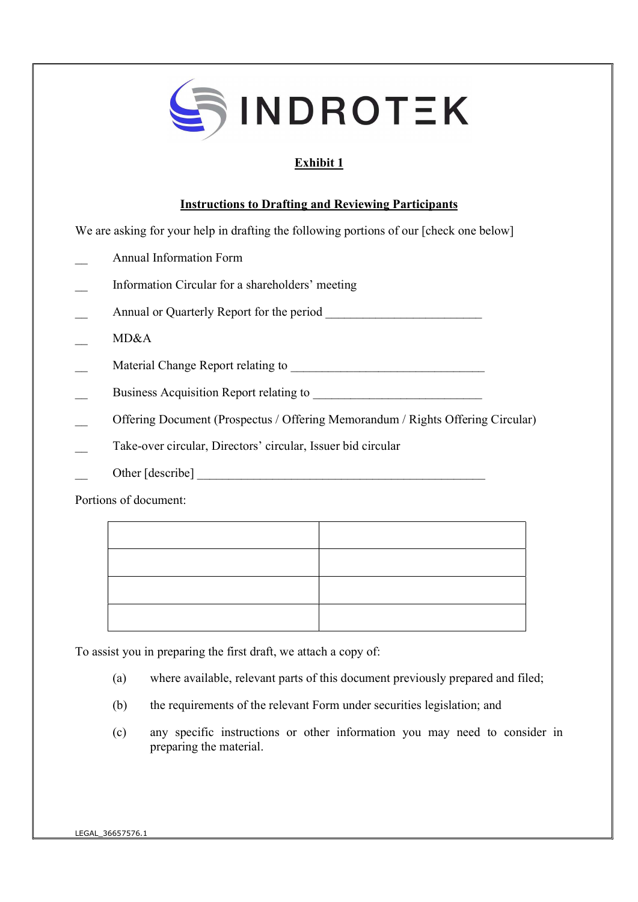

# Exhibit 1

### Instructions to Drafting and Reviewing Participants

We are asking for your help in drafting the following portions of our [check one below]

- \_\_ Annual Information Form
- \_\_ Information Circular for a shareholders' meeting
- \_\_ Annual or Quarterly Report for the period \_\_\_\_\_\_\_\_\_\_\_\_\_\_\_\_\_\_\_\_\_\_\_\_\_
- \_\_ MD&A
- \_\_ Material Change Report relating to \_\_\_\_\_\_\_\_\_\_\_\_\_\_\_\_\_\_\_\_\_\_\_\_\_\_\_\_\_\_\_
- Business Acquisition Report relating to
- Offering Document (Prospectus / Offering Memorandum / Rights Offering Circular)
- Take-over circular, Directors' circular, Issuer bid circular
- \_\_ Other [describe] \_\_\_\_\_\_\_\_\_\_\_\_\_\_\_\_\_\_\_\_\_\_\_\_\_\_\_\_\_\_\_\_\_\_\_\_\_\_\_\_\_\_\_\_\_\_

Portions of document:

To assist you in preparing the first draft, we attach a copy of:

- (a) where available, relevant parts of this document previously prepared and filed;
- (b) the requirements of the relevant Form under securities legislation; and
- (c) any specific instructions or other information you may need to consider in preparing the material.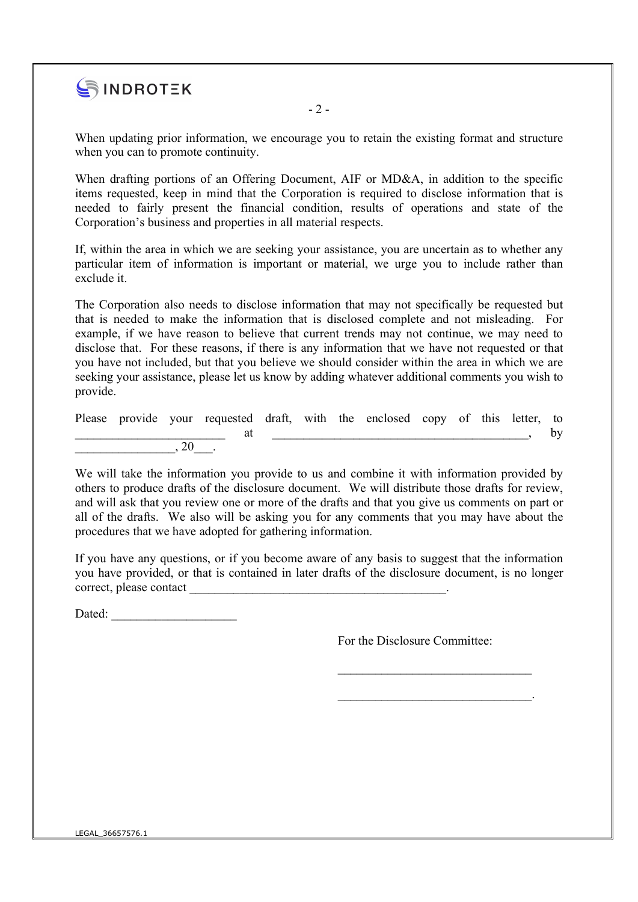

 $-2-$ 

When updating prior information, we encourage you to retain the existing format and structure when you can to promote continuity.

When drafting portions of an Offering Document, AIF or MD&A, in addition to the specific items requested, keep in mind that the Corporation is required to disclose information that is needed to fairly present the financial condition, results of operations and state of the Corporation's business and properties in all material respects.

If, within the area in which we are seeking your assistance, you are uncertain as to whether any particular item of information is important or material, we urge you to include rather than exclude it.

The Corporation also needs to disclose information that may not specifically be requested but that is needed to make the information that is disclosed complete and not misleading. For example, if we have reason to believe that current trends may not continue, we may need to disclose that. For these reasons, if there is any information that we have not requested or that you have not included, but that you believe we should consider within the area in which we are seeking your assistance, please let us know by adding whatever additional comments you wish to provide.

Please provide your requested draft, with the enclosed copy of this letter, to  $\quad \text{at}$  at  $\quad \text{or}$  $\cdot$  20

We will take the information you provide to us and combine it with information provided by others to produce drafts of the disclosure document. We will distribute those drafts for review, and will ask that you review one or more of the drafts and that you give us comments on part or all of the drafts. We also will be asking you for any comments that you may have about the procedures that we have adopted for gathering information.

If you have any questions, or if you become aware of any basis to suggest that the information you have provided, or that is contained in later drafts of the disclosure document, is no longer correct, please contact

Dated:

For the Disclosure Committee:

\_\_\_\_\_\_\_\_\_\_\_\_\_\_\_\_\_\_\_\_\_\_\_\_\_\_\_\_\_\_\_

 $\mathcal{L}=\mathcal{L}=\mathcal{L}=\mathcal{L}=\mathcal{L}=\mathcal{L}=\mathcal{L}=\mathcal{L}=\mathcal{L}=\mathcal{L}=\mathcal{L}=\mathcal{L}=\mathcal{L}=\mathcal{L}=\mathcal{L}=\mathcal{L}=\mathcal{L}=\mathcal{L}=\mathcal{L}=\mathcal{L}=\mathcal{L}=\mathcal{L}=\mathcal{L}=\mathcal{L}=\mathcal{L}=\mathcal{L}=\mathcal{L}=\mathcal{L}=\mathcal{L}=\mathcal{L}=\mathcal{L}=\mathcal{L}=\mathcal{L}=\mathcal{L}=\mathcal{L}=\mathcal{L}=\mathcal{$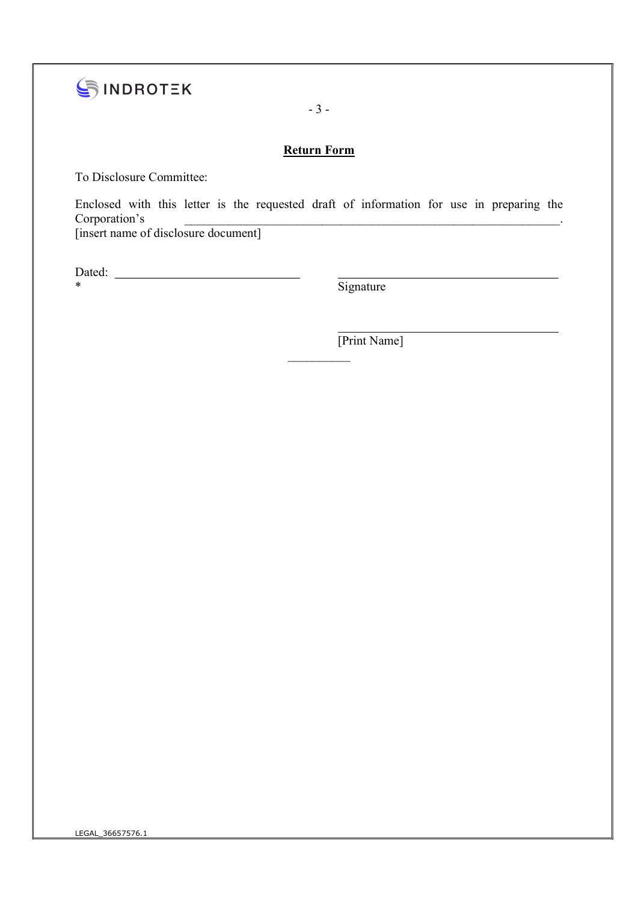

- 3 -

## Return Form

To Disclosure Committee:

Enclosed with this letter is the requested draft of information for use in preparing the Corporation's the context of the context of the context of the context of the context of the context of the context of the context of the context of the context of the context of the context of the context of the context o

 $\frac{1}{2}$ 

[insert name of disclosure document]

Dated:

\* Signature

[Print Name]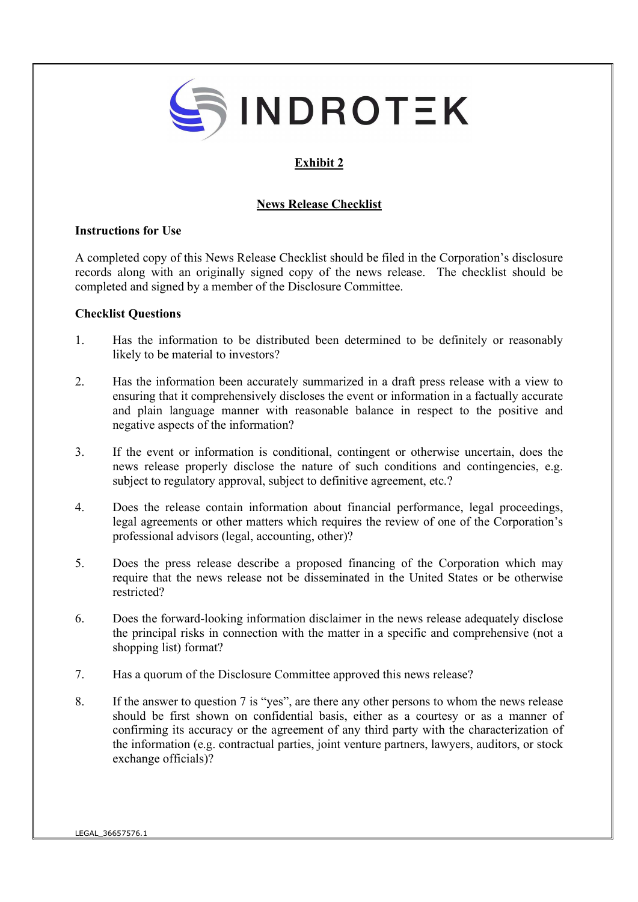

# Exhibit 2

### News Release Checklist

#### Instructions for Use

A completed copy of this News Release Checklist should be filed in the Corporation's disclosure records along with an originally signed copy of the news release. The checklist should be completed and signed by a member of the Disclosure Committee.

#### Checklist Questions

- 1. Has the information to be distributed been determined to be definitely or reasonably likely to be material to investors?
- 2. Has the information been accurately summarized in a draft press release with a view to ensuring that it comprehensively discloses the event or information in a factually accurate and plain language manner with reasonable balance in respect to the positive and negative aspects of the information?
- 3. If the event or information is conditional, contingent or otherwise uncertain, does the news release properly disclose the nature of such conditions and contingencies, e.g. subject to regulatory approval, subject to definitive agreement, etc.?
- 4. Does the release contain information about financial performance, legal proceedings, legal agreements or other matters which requires the review of one of the Corporation's professional advisors (legal, accounting, other)?
- 5. Does the press release describe a proposed financing of the Corporation which may require that the news release not be disseminated in the United States or be otherwise restricted?
- 6. Does the forward-looking information disclaimer in the news release adequately disclose the principal risks in connection with the matter in a specific and comprehensive (not a shopping list) format?
- 7. Has a quorum of the Disclosure Committee approved this news release?
- 8. If the answer to question 7 is "yes", are there any other persons to whom the news release should be first shown on confidential basis, either as a courtesy or as a manner of confirming its accuracy or the agreement of any third party with the characterization of the information (e.g. contractual parties, joint venture partners, lawyers, auditors, or stock exchange officials)?